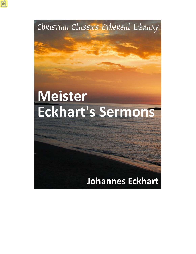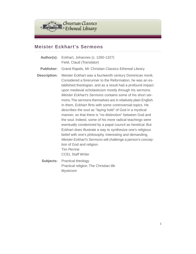

## **Meister Eckhart's Sermons**

| Author(s):          | Eckhart, Johannes (c. 1260-1327)<br>Field, Claud (Translator)                                                                                                                                                                                                                                                                                                                                                                                                                                                                                                                                                                                                                                                                                                                                                                                                                                                                                                           |
|---------------------|-------------------------------------------------------------------------------------------------------------------------------------------------------------------------------------------------------------------------------------------------------------------------------------------------------------------------------------------------------------------------------------------------------------------------------------------------------------------------------------------------------------------------------------------------------------------------------------------------------------------------------------------------------------------------------------------------------------------------------------------------------------------------------------------------------------------------------------------------------------------------------------------------------------------------------------------------------------------------|
| <b>Publisher:</b>   | Grand Rapids, MI: Christian Classics Ethereal Library                                                                                                                                                                                                                                                                                                                                                                                                                                                                                                                                                                                                                                                                                                                                                                                                                                                                                                                   |
| <b>Description:</b> | Meister Eckhart was a fourteenth century Dominican monk.<br>Considered a forerunner to the Reformation, he was an es-<br>tablished theologian, and as a result had a profound impact<br>upon medieval scholasticism mostly through his sermons.<br>Meister Eckhart's Sermons contains some of his short ser-<br>mons. The sermons themselves are in relatively plain English.<br>In them, Eckhart flirts with some controversial topics. He<br>describes the soul as "laying hold" of God in a mystical<br>manner, so that there is "no distinction" between God and<br>the soul. Indeed, some of his more radical teachings were<br>eventually condemned by a papal council as heretical. But<br>Eckhart does illustrate a way to synthesize one's religious<br>belief with one's philosophy. Interesting and demanding,<br>Meister Eckhart's Sermons will challenge a person's concep-<br>tion of God and religion.<br><b>Tim Perrine</b><br><b>CCEL Staff Writer</b> |
|                     | <b>Subjects:</b> Practical theology<br>Droctical religion The Christian life                                                                                                                                                                                                                                                                                                                                                                                                                                                                                                                                                                                                                                                                                                                                                                                                                                                                                            |

Practical religion. The Christian life Mysticism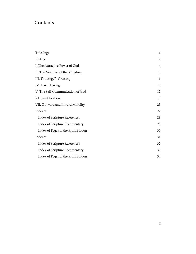# Contents

| Title Page                           | 1              |
|--------------------------------------|----------------|
| Preface                              | 2              |
| I. The Attractive Power of God       | $\overline{4}$ |
| II. The Nearness of the Kingdom      | 8              |
| III. The Angel's Greeting            | 11             |
| IV. True Hearing                     | 13             |
| V. The Self-Communication of God     | 15             |
| VI. Sanctification                   | 18             |
| VII. Outward and Inward Morality     | 23             |
| Indexes                              | 27             |
| Index of Scripture References        | 28             |
| <b>Index of Scripture Commentary</b> | 29             |
| Index of Pages of the Print Edition  | 30             |
| Indexes                              |                |
| Index of Scripture References        | 32             |
| <b>Index of Scripture Commentary</b> |                |
| Index of Pages of the Print Edition  |                |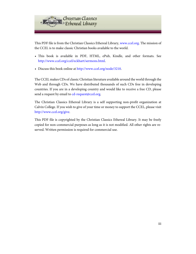

This PDF file is from the Christian Classics Ethereal Library, [www.ccel.org.](http://www.ccel.org) The mission of the CCEL is to make classic Christian books available to the world.

- This book is available in PDF, HTML, ePub, Kindle, and other formats. See [http://www.ccel.org/ccel/eckhart/sermons.html.](http://www.ccel.org/ccel/eckhart/sermons.html)
- Discuss this book online at [http://www.ccel.org/node/3210.](http://www.ccel.org/node/3210)

The CCEL makes CDs of classic Christian literature available around the world through the Web and through CDs. We have distributed thousands of such CDs free in developing countries. If you are in a developing country and would like to receive a free CD, please send a request by email to [cd-request@ccel.org.](mailto:cd-request@ccel.org)

The Christian Classics Ethereal Library is a self supporting non-profit organization at Calvin College. If you wish to give of your time or money to support the CCEL, please visit [http://www.ccel.org/give.](http://www.ccel.org/give)

This PDF file is copyrighted by the Christian Classics Ethereal Library. It may be freely copied for non-commercial purposes as long as it is not modified. All other rights are reserved. Written permission is required for commercial use.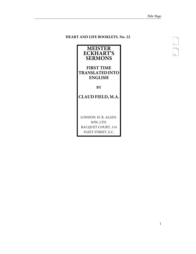<span id="page-4-2"></span><span id="page-4-1"></span>[1](http://www.ccel.org/ccel/eckhart/sermons/Page_1.html)

 $2-3$ 

#### <span id="page-4-0"></span>**HEART AND LIFE BOOKLETS. No. 22**



SON, LTD. RACQUET COURT, 114 FLEET STREET, E.C.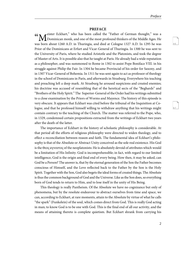<span id="page-5-2"></span>[6-7](http://www.ccel.org/ccel/eckhart/sermons/Page_6-7.html)

#### <span id="page-5-1"></span>**PREFACE**

<span id="page-5-0"></span>**COM** EXAMPLE EXAMPLE TO THE MILDON CONTROLLED TO SET IN DOMINICANT DOMINICANT DOMINICANT DURING WAS SAND DOMINICANT DWAS BOTH about 1260 A.D. in Thuringia, and died at Cologne 1327 A.D. In 1295 he was eister Eckhart," who has been called the "Father of German thought," was a Dominican monk, and one of the most profound thinkers of the Middle Ages. He Prior of the Dominicans at Erfurt and Vicar-General of Thuringia. In 1300 he was sent to the University of Paris, where he studied Aristotle and the Platonists, and took the degree of Master of Arts. It is possible also that he taught at Paris. He already had a wide reputation as a philosopher, and was summoned to Rome in 1302 to assist Pope Boniface VIII. in his struggle against Philip the Fair. In 1304 he became Provincial of his order for Saxony, and in 1307 Vicar-General of Bohemia. In 1311 he was sent again to act as professor of theology in the school of Dominicans in Paris, and afterwards in Strasburg. Everywhere his teaching and preaching left a deep mark. At Strasburg he aroused suspicions and created enemies; his doctrine was accused of resembling that of the heretical sects of the "Beghards" and "Brothers of the Holy Spirit." The Superior-General of the Order had his writings submitted to a close examination by the Priors of Worms and Mayence. The history of this episode is very obscure. It appears that Eckhart was cited before the tribunal of the Inquisition at Cologne, and that he professed himself willing to withdraw anything that his writings might contain contrary to the teaching of the Church. The matter was referred to the Pope, who, in 1329, condemned certain propositions extracted from the writings of Eckhart two years after the death of the latter.

The importance of Eckhart in the history of scholastic philosophy is considerable. At that period all the efforts of religious philosophy were directed to widen theology, and to effect a reconciliation between reason and faith. The fundamental idea of Eckhart's philosophy is that of the Absolute or Abstract Unity conceived as the sole real existence. His God is the Θεος αγνοστος of the neoplatonists: He is absolutely devoid of attributes which would be a limitation of His Infinity. God is incomprehensible; in fact, with regard to our limited intelligence, God is the origin and final end of every being. How then, it may be asked, can God be a Person? The answer is, that by the eternal generation of the Son the Father becomes conscious of Himself, and the Love reflected back to the Father by the Son is the Holy Spirit. Together with the Son, God also begets the ideal forms of created things. The Absolute is thus the common background of God and the Universe. Like as the Son does, so everything born of God tends to return to Him, and to lose itself in the unity of His Being.

This theology is really Pantheism. Of the Absolute we have no cognizance but only of phenomena, but by the resolute endeavour to abstract ourselves from time and space, we can, according to Eckhart, at rare moments, attain to the Absolute by virtue of what he calls "the spark" (Funkelein) of the soul, which comes direct from God. This is really God acting in man; to know God is to be one with God. This is the final end of all our activity, and the means of attaining thereto is complete quietism. But Eckhart shrank from carrying his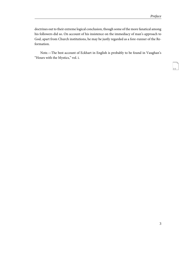doctrines out to their extreme logical conclusion, though some of the more fanatical among his followers did so. On account of his insistence on the immediacy of man's approach to God, apart from Church institutions, he may be justly regarded as a fore-runner of the Reformation.

<span id="page-6-0"></span>Note.—The best account of Eckhart in English is probably to be found in Vaughan's "Hours with the Mystics," vol. i.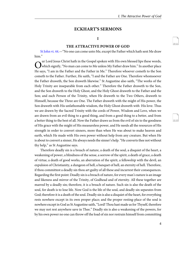<span id="page-7-3"></span>[12-13](http://www.ccel.org/ccel/eckhart/sermons/Page_12-13.html)

### **ECKHART'S SERMONS**

#### <span id="page-7-2"></span>**I**

#### **THE ATTRACTIVE POWER OF GOD**

<span id="page-7-1"></span><span id="page-7-0"></span>[St John](http://www.ccel.org/study/Bible:John.6.44) vi. 44.—"No one can come unto Me, except the Father which hath sent Me draw him."

Our Lord Jesus Christ hath in the Gosper spoken with Fis own blessed lips these words,<br>He says, "I am in the Father and the Father in Me." Therefore whoever cometh to the Son ur Lord Jesus Christ hath in the Gospel spoken with His own blessed lips these words, which signify, "No man can come to Me unless My Father draw him." In another place cometh to the Father. Further, He saith, "I and the Father are One. Therefore whomsoever the Father draweth, the Son draweth likewise." St Augustine also saith, "The works of the Holy Trinity are inseparable from each other." Therefore the Father draweth to the Son, and the Son draweth to the Holy Ghost, and the Holy Ghost draweth to the Father and the Son; and each Person of the Trinity, when He draweth to the Two Others, draweth to Himself, because the Three are One. The Father draweth with the might of His power, the Son draweth with His unfathomable wisdom, the Holy Ghost draweth with His love. Thus we are drawn by the Sacred Trinity with the cords of Power, Wisdom and Love, when we are drawn from an evil thing to a good thing, and from a good thing to a better, and from a better thing to the best of all. Now the Father draws us from the evil of sin to the goodness of His grace with the might of His measureless power, and He needs all the resources of His strength in order to convert sinners, more than when He was about to make heaven and earth, which He made with His own power without help from any creature. But when He is about to convert a sinner, He always needs the sinner's help. "He converts thee not without thy help," as St Augustine says.

Therefore deadly sin is a breach of nature, a death of the soul, a disquiet of the heart, a weakening of power, a blindness of the sense, a sorrow of the spirit, a death of grace, a death of virtue, a death of good works, an aberration of the spirit, a fellowship with the devil, an expulsion of Christianity, a dungeon of hell, a banquet of hell, an eternity of hell. Therefore, if thou committest a deadly sin thou art guilty of all these and incurrest their consequences. Regarding the first point: Deadly sin is a breach of nature, for every man's nature is an image and likeness and mirror of the Trinity, of Godhead and of eternity. All these together are marred by a deadly sin; therefore, it is a breach of nature. Such sin is also the death of the soul, for death is to lose life. Now God is the life of the soul, and deadly sin separates from God; therefore it is a death of the soul. Deadly sin is also a disquiet of the heart, for everything rests nowhere except in its own proper place; and the proper resting-place of the soul is nowhere except in God as St Augustine saith, "Lord! Thou hast made us for Thyself, therefore we may not rest anywhere save in Thee." Deadly sin is also a weakening of the powers, for by his own power no one can throw off the load of sin nor restrain himself from committing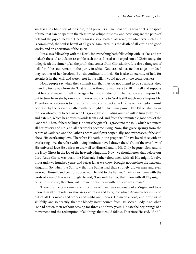sin. It is also a blindness of the sense, for it prevents a man recognizing how brief is the space of time that can be spent in the pleasure of voluptuousness, and how long are the pains of hell and the joys of heaven. Deadly sin is also a death of all grace, for whenever such a sin is committed, the soul is bereft of all grace. Similarly, it is the death of all virtue and good works, and an aberration of the spirit.

It is also a fellowship with the Devil, for everything hath fellowship with its like; and sin maketh the soul and Satan resemble each other. It is also an expulsion of Christianity, for it depriveth the sinner of all the profit that comes from Christianity. It is also a dungeon of hell, for if the soul remain in the purity in which God created her, neither angel nor devil may rob her of her freedom. But sin confines it in hell. Sin is also an eternity of hell, for eternity is in the will, and were it not in the will, it would not be in the consciousness.

<span id="page-8-0"></span>Now, people say when they commit sin, that they do not intend to do so always; they intend to turn away from sin. That is just as though a man were to kill himself and suppose that he could make himself alive again by his own strength. That is, however, impossible; but to turn from sin by one's own power and come to God is still much more impossible. Therefore, whosoever is to turn from sin and come to God in His heavenly kingdom, must be drawn by the heavenly Father with the might of His divine power. The Father also draws the Son who comes to help us with His grace, by stimulating our free will to turn away from, and hate sin, which has drawn us aside from God, and from the immutable goodness of the Godhead. Then, if she is willing, He pours the gift of His grace into the soul, which renounces all her misery and sin, and all her works become living. Now, this grace springs from the centre of Godhead and the Father's heart, and flows perpetually, nor ever ceases, if the soul obeys His everlasting love. Therefore He saith in the prophets: "I have loved thee with an everlasting love, therefore with loving kindness have I drawn thee." Out of the overflow of His universal love He desires to draw all to Himself, and to His Only-begotten Son, and to the Holy Ghost in the joy of the heavenly kingdom. Now, we should know that before our Lord Jesus Christ was born, the Heavenly Father drew men with all His might for five thousand, two hundred years; and yet, as far as we know, brought not one into the heavenly kingdom. So, when the Son saw that the Father had thus strongly drawn men and even wearied Himself, and yet not succeeded, He said to the Father: "I will draw them with the cords of a man." It was as though He said, "I see well, Father, that Thou with all Thy might, canst not succeed, therefore will I myself draw them with the cords of a man."

Therefore the Son came down from heaven, and was incarnate of a Virgin, and took upon Him all our bodily weaknesses, except sin and folly, into which Adam had cast us; and out of all His words and works and limbs and nerves, He made a cord, and drew us so skillfully, and so heartily, that the bloody sweat poured from His sacred Body. And when He had drawn men without ceasing for three and thirty years, He saw the beginnings of a movement and the redemption of all things that would follow. Therefore He said, "And I,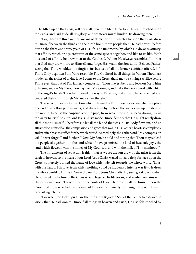if I be lifted up on the Cross, will draw all men unto Me." Therefore He was stretched upon the Cross, and laid aside all His glory, and whatever might hinder His drawing men.

<span id="page-9-0"></span>Now, there are three natural means of attraction with which Christ on the Cross drew to Himself between the third and the ninth hour, more people than He had drawn before during the three and thirty years of His life. The first means by which He draws is affinity, that affinity which brings creatures of the same species together, and like to its like. With this cord of affinity he drew men to the Godhead, Whom He always resembles. In order that God may draw more to Himself, and forget His wrath, the Son saith, "Beloved Father, seeing that Thou wouldest not forgive sins because of all the former sacrifices offered, lo I, Thine Only begotten Son, Who resemble Thy Godhead in all things, in Whom Thou hast hidden all the riches of divine love, I come to the Cross, that I may be a living sacrifice before Thine eyes; that out of Thy fatherly compassion Thou mayest bend and look on Me, Thine only Son, and on My Blood flowing from My wounds, and slake the fiery sword with which in the angel's hands Thou hast barred the way to Paradise, that all who have repented and bewailed their sins through Me, may enter therein."

The second means of attraction which He used is Emptiness, as we see when we place one end of a hollow pipe in water, and draw up it by suction; the water runs up the stem to the mouth, because the emptiness of the pipe, from which the air has been drawn, draws the water to itself. So Our Lord Jesus Christ made Himself empty that He might wisely draw all things to Himself. Therefore He let all the blood that was in His Body flow out, and so attracted to Himself all the compassion and grace that was in His Father's heart, so completely and profitably as to suffice for the whole world. Accordingly, the Father said, "My compassion will I never forget," and further, "Now, My Son, be bold and strong that Thou mayest lead the people altogether into the land which I have promised, the land of heavenly joys, the land which floweth with the honey of My Godhead, and with the milk of Thy manhood."

The third means of attraction is this—that as we see the sun draw up the mists from the earth to heaven, so the heart of our Lord Jesus Christ waxed hot as a fiery furnace upon the Cross, so fiercely burned the flame of love which He felt towards the whole world. Thus, with the heat of His love, from which nothing could be hidden, so intense was it—He drew the whole world to Himself. Never did our Lord Jesus Christ display such great love as when He suffered the torture of the Cross when He gave His life for us, and washed our sins with His precious Blood. Therefore with the cords of Love, He drew us all to Himself upon the Cross that those who feel the drawing of His death and martyrdom might live with Him in everlasting felicity.

Now when the Holy Spirit saw that the Only Begotten Son of the Father had drawn so wisely that He had won to Himself all things in heaven and earth, He also felt impelled by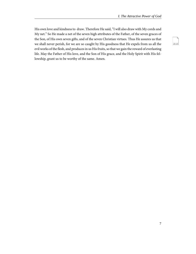<span id="page-10-0"></span>His own love and kindness to draw. Therefore He said, "I will also draw with My cords and My net." So He made a net of the seven high attributes of the Father, of the seven graces of the Son, of His own seven gifts, and of the seven Christian virtues. Thus He assures us that we shall never perish, for we are so caught by His goodness that He expels from us all the evil works of the flesh, and produces in us His fruits, so that we gain the reward of everlasting life. May the Father of His love, and the Son of His grace, and the Holy Spirit with His fellowship, grant us to be worthy of the same. Amen.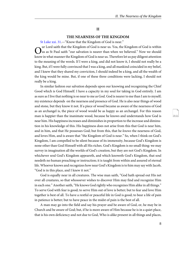#### <span id="page-11-2"></span>**II**

### **THE NEARNESS OF THE KINGDOM**

<span id="page-11-1"></span><span id="page-11-0"></span>[St Luke](http://www.ccel.org/study/Bible:Luke.21.31) xxi. 31.—"Know that the Kingdom of God is near." Our Lord saith that the Kingdom of God is hear us. Tea, the Kingdom of God is within<br>know in what manner the Kingdom of God is near us. Therefore let us pay diligent attention<br>know in what manner the Kingdom of God is near ur Lord saith that the Kingdom of God is near us. Yea, the Kingdom of God is within us as St Paul saith "our salvation is nearer than when we believed." Now we should to the meaning of the words. If I were a king, and did not know it, I should not really be a king. But, if I were fully convinced that I was a king, and all mankind coincided in my belief, and I knew that they shared my conviction, I should indeed be a king, and all the wealth of the king would be mine. But, if one of these three conditions were lacking, I should not really be a king.

In similar fashion our salvation depends upon our knowing and recognizing the Chief Good which is God Himself. I have a capacity in my soul for taking in God entirely. I am as sure as I live that nothing is so near to me as God. God is nearer to me than I am to myself; my existence depends on the nearness and presence of God. He is also near things of wood and stone, but they know it not. If a piece of wood became as aware of the nearness of God as an archangel is, the piece of wood would be as happy as an archangel. For this reason man is happier than the inanimate wood, because he knows and understands how God is near him. His happiness increases and diminishes in proportion to the increase and diminution in his knowledge of this. His happiness does not arise from this that God is near him, and in him, and that He possesses God; but from this, that he *knows* the nearness of God, and loves Him, and is aware that "the Kingdom of God is near." So, when I think on God's Kingdom, I am compelled to be silent because of its immensity, because God's Kingdom is none other than God Himself with all His riches. God's Kingdom is no small thing: we may survey in imagination all the worlds of God's creation, but they are not God's Kingdom. In whichever soul God's Kingdom appeareth, and which knoweth God's Kingdom, that soul needeth no human preaching or instruction; it is taught from within and assured of eternal life. Whoever knows and recognizes how near God's Kingdom is to him may say with Jacob, "God is in this place, and I knew it not."

God is equally near in all creatures. The wise man saith, "God hath spread out His net over all creatures, so that whosoever wishes to discover Him may find and recognize Him in each one." Another saith, "He knows God rightly who recognizes Him alike in all things." To serve God with fear is good; to serve Him out of love is better; but to fear and love Him together is best of all. To have a restful or peaceful life in God is good; to bear a life of pain in patience is better; but to have peace in the midst of pain is the best of all.

A man may go into the field and say his prayer and be aware of God, or, he may be in Church and be aware of God; but, if he is more aware of Him because he is in a quiet place, that is his own deficiency and not due to God, Who is alike present in all things and places,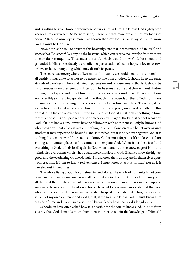and is willing to give Himself everywhere so far as lies in Him. He knows God rightly who knows Him everywhere. St Bernard saith, "How is it that mine eye and not my foot sees heaven? Because mine eye is more like heaven than my foot is. So, if my soul is to know God, it must be God-like."

Now, how is the soul to arrive at this heavenly state that it recognizes God in itself, and knows that He is near? By copying the heavens, which can receive no impulse from without to mar their tranquility. Thus must the soul, which would know God, be rooted and grounded in Him so steadfastly, as to suffer no perturbation of fear or hope, or joy or sorrow, or love or hate, or anything which may disturb its peace.

<span id="page-12-0"></span>The heavens are everywhere alike remote from earth, so should the soul be remote from all earthly things alike so as not to be nearer to one than another. It should keep the same attitude of aloofness in love and hate, in possession and renouncement, that is, it should be simultaneously dead, resigned and lifted up. The heavens are pure and clear without shadow of stain, out of space and out of time. Nothing corporeal is found there. Their revolutions are incredibly swift and independent of time, though time depends on them. Nothing hinders the soul so much in attaining to the knowledge of God as time and place. Therefore, if the soul is to know God, it must know Him outside time and place, since God is neither in this or that, but One and above them. If the soul is to see God, it must look at nothing in time; for while the soul is occupied with time or place or any image of the kind, it cannot recognize God. If it is to know Him, it must have no fellowship with nothingness. Only he knows God who recognizes that all creatures are nothingness. For, if one creature be set over against another, it may appear to be beautiful and somewhat, but if it be set over against God, it is nothing. I say moreover: If the soul is to know God it must forget itself and lose itself, for as long as it contemplates self, it cannot contemplate God. When it has lost itself and everything in God, it finds itself again in God when it attains to the knowledge of Him, and it finds also everything which it had abandoned complete in God. If I am to know the highest good, and the everlasting Godhead, truly, I must know them as they are in themselves apart from creation. If I am to know real existence, I must know it as it is in itself, not as it is parceled out in creatures.

The whole Being of God is contained in God alone. The whole of humanity is not contained in one man, for one man is not all men. But in God the soul knows all humanity, and all things at their highest level of existence, since it knows them in their essence. Suppose any one to be *in* a beautifully adorned house: he would know much more about it than one who had never entered therein, and yet wished to speak much about it. Thus, I am as sure, as I am of my own existence and God's, that, if the soul is to know God, it must know Him outside of time and place. Such a soul will know clearly how near God's kingdom is.

Schoolmen have often asked how it is possible for the soul to know God. It is not from severity that God demands much from men in order to obtain the knowledge of Himself: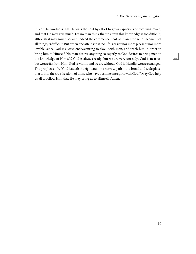<span id="page-13-0"></span>it is of His kindness that He wills the soul by effort to grow capacious of receiving much, and that He may give much. Let no man think that to attain this knowledge is too difficult, although it may sound so, and indeed the commencement of it, and the renouncement of all things, is difficult. But when one attains to it, no life is easier nor more pleasant nor more lovable, since God is always endeavouring to dwell with man, and teach him in order to bring him to Himself. No man desires anything so eagerly as God desires to bring men to the knowledge of Himself. God is always ready, but we are very unready. God is near us, but we are far from Him. God is within, and we are without. God is friendly; we are estranged. The prophet saith, "God leadeth the righteous by a narrow path into a broad and wide place, that is into the true freedom of those who have become one spirit with God." May God help us all to follow Him that He may bring us to Himself. Amen.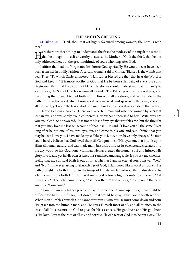#### <span id="page-14-2"></span>**III**

#### **THE ANGEL'S GREETING**

<span id="page-14-1"></span><span id="page-14-0"></span>[St Luke](http://www.ccel.org/study/Bible:Luke.1.28) i. 28.—"Hail, thou that art highly favoured among women, the Lord is with thee"

There there are three things to understand: the first, the modesty of the that he thought himself unworthy to accost the Mother of God; the only addressed her, but the great multitude of souls who long after God. ere there are three things to understand: the first, the modesty of the angel; the second, that he thought himself unworthy to accost the Mother of God; the third, that he not

I affirm that had the Virgin not first borne God spiritually He would never have been born from her in bodily fashion. A certain woman said to Christ, "Blessed is the womb that bear Thee." To which Christ answered, "Nay, rather blessed are they that hear the Word of God and keep it." It is more worthy of God that He be born spiritually of every pure and virgin soul, than that He be born of Mary. Hereby we should understand that humanity is, so to speak, the Son of God born from all eternity. The Father produced all creatures, and me among them, and I issued forth from Him with all creatures, and yet I abide in the Father. Just as the word which I now speak is conceived and spoken forth by me, and you all receive it, yet none the less it abides in me. Thus I and all creatures abide in the Father.

Hereto I adjoin a parable. There were a certain man and wife; the woman by accident lost an eye, and was sorely troubled thereat. Her husband then said to her, "Wife, why are you troubled? "She answered, "It is not the loss of my eye that troubles me, but the thought that you may love me less on account of that loss." He said, "I love you all the same." Not long after he put one of his own eyes out, and came to his wife and said, "Wife, that you may believe I love you, I have made myself like you: I, too, now, have only one eye." So men could hardly believe that God loved them till God put one of His eyes out, that is took upon Himself human nature, and was made man. Just as fire infuses its essence and clearness into the dry wood, so has God done with man. He has created the human soul and infused His glory into it, and yet in His own essence has remained unchangeable. If you ask me whether, seeing that my spiritual birth is out of time, whether I am an eternal son, I answer "Yes," and "No." In the everlasting foreknowledge of God, I slumbered like a word unspoken. He hath brought me forth His son in the image of His eternal fatherhood, that I also should be a father and bring forth Him. It is as if one stood before a high mountain, and cried, "Art thou there?" The echo comes back, "Art thou there?" If one cries, "Come out." the echo answers, "Come out."

Again: If I am in a higher place and say to some one, "Come up hither," that might be difficult for him. But if I say, "Sit down," that would be easy. Thus God dealeth with us. When man humbles himself, God cannot restrain His mercy; He must come down and pour His grace into the humble man, and He gives Himself most of all, and all at once, to the least of all. It is essential to God to give, for His essence is His goodness and His goodness is His love. Love is the root of all joy and sorrow. Slavish fear of God is to be put away. The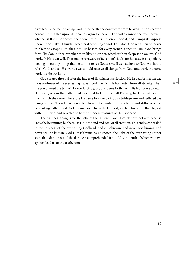right fear is the fear of losing God. If the earth flee downward from heaven, it finds heaven beneath it; if it flee upward, it comes again to heaven. The earth cannot flee from heaven: whether it flee up or down, the heaven rains its influence upon it, and stamps its impress upon it, and makes it fruitful, whether it be willing or not. Thus doth God with men: whoever thinketh to escape Him, flies into His bosom, for every corner is open to Him. God brings forth His Son in thee, whether thou likest it or not, whether thou sleepest or wakest; God worketh His own will. That man is unaware of it, is man's fault, for his taste is so spoilt by feeding on earthly things that he cannot relish God's love. If we had love to God, we should relish God, and all His works; we should receive all things from God, and work the same works as He worketh.

<span id="page-15-0"></span>God created the soul after the image of His highest perfection. He issued forth from the treasure-house of the everlasting Fatherhood in which He had rested from all eternity. Then the Son opened the tent of His everlasting glory and came forth from His high place to fetch His Bride, whom the Father had espoused to Him from all Eternity, back to that heaven from which she came. Therefore He came forth rejoicing as a bridegroom and suffered the pangs of love. Then He returned to His secret chamber in the silence and stillness of the everlasting Fatherhood. As He came forth from the Highest, so He returned to the Highest with His Bride, and revealed to her the hidden treasures of His Godhead.

The first beginning is for the sake of the last end. God Himself doth not rest because He is the beginning, but because He is the end and goal of all creation. This end is concealed in the darkness of the everlasting Godhead, and is unknown, and never was known, and never will be known. God Himself remains unknown; the light of the everlasting Father shineth in darkness, and the darkness comprehended it not. May the truth of which we have spoken lead us to the truth. Amen.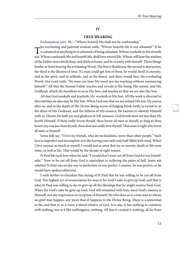#### <span id="page-16-2"></span>**IV**

#### **TRUE HEARING**

<span id="page-16-1"></span><span id="page-16-0"></span>[Ecclesiasticus](http://www.ccel.org/study/Bible:Sir.24.30) xxiv. 30.—"Whoso heareth Me shall not be confounded." The everiasting and paternal wisdom saith, whoso heareth Me is not ashamed. If he<br>is ashamed of anything he is ashamed of being ashamed. Whoso worketh in Me sinneth<br>in Me sinneth and Me since the wide Me since the sinneth he everlasting and paternal wisdom saith, "Whoso heareth Me is not ashamed." If he not. Whoso confesseth Me and feareth Me, shall have eternal life. Whoso will hear the wisdom of the Father must dwell deep, and abide at home, and be at unity with himself. Three things hinder us from hearing the everlasting Word. The first is fleshliness, the second is distraction, the third is the illusion of time. If a man could get free of these, he would dwell in eternity, and in the spirit, and in solitude, and in the desert, and there would hear the everlasting Word. Our Lord saith, "No man can hear My word nor my teaching without renouncing himself." All that the Eternal Father teaches and reveals is His being, His nature, and His Godhead, which He manifests to us in His Son, and teaches us that we are also His Son.

All that God worketh and teacheth, He worketh in His Son. All His work is directed to this end that we also may be His Son. When God sees that we are indeed His son, He yearns after us, and in the depth of His Divine Being waves of longing break forth, to reveal to us the abyss of His Godhead, and the fullness of His essence; He hastens to identify Himself with us. Herein He hath joy and gladness in full measure. God loveth men not less than He loveth Himself. If thou really lovest thyself, thou lovest all men as thyself; as long as thou lovest any one less than thyself, thou dost not really love thyself. That man is right who loves all men as himself.

Some folk say: "I love my friends, who do me kindness, more than other people." Such love is imperfect and incomplete; it is like having your sails only half-filled with wind. When I love anyone as much as myself, I would just as soon that joy or sorrow, death or life were mine, as well as his. That would be the dictate of right reason.

St Paul felt such love when he said, "I would that I were cut off from God for my friends' sake." Now to be cut off from God is equivalent to suffering the pains of hell. Some ask whether St Paul was on the way to perfection or was perfect. I answer, he was perfect, or he would have spoken otherwise.

I wish further to elucidate this saying of St Paul that he was willing to be cut off from God. The highest act of renunciation for man is for God's sake to give up God, and that is what St Paul was willing to do; to give up all the blessings that he might receive from God. When for God's sake he gave up God, God still remained with him, since God's essence is Himself, not any impression or reception of Himself. He who does so is a true man to whom no grief may happen, any more than it happens to the Divine Being. There is a somewhat in the soul that is, as it were, a blood-relative of God. It is one, it has nothing in common with nothing, nor is it like nothingness, nothing. All that is created is nothing, all far from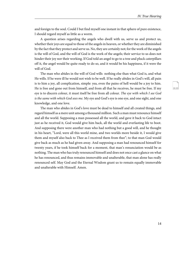and foreign to the soul. Could I but find myself one instant in that sphere of pure existence, I should regard myself as little as a worm.

A question arises regarding the angels who dwell with us, serve us and protect us, whether their joys are equal to those of the angels in heaven, or whether they are diminished by the fact that they protect and serve us. No, they are certainly not; for the work of the angels is the will of God, and the will of God is the work of the angels; their service to us does not hinder their joy nor their working. If God told an angel to go to a tree and pluck caterpillars off it, the angel would be quite ready to do so, and it would be his happiness, if it were the will of God.

<span id="page-17-0"></span>The man who abides in the will of God wills nothing else than what God is, and what He wills. If he were ill he would not wish to be well. If he really abides in God's will, all pain is to him a joy, all complication, simple: yea, even the pains of hell would be a joy to him. He is free and gone out from himself, and from all that he receives, he must be free. If my eye is to discern colour, it must itself be free from all colour. The eye with which I see God is the same with which God sees me. My eye and God's eye is one eye, and one sight, and one knowledge, and one love.

The man who abides in God's love must be dead to himself and all created things, and regard himself as a mere unit among a thousand million. Such a man must renounce himself and all the world. Supposing a man possessed all the world, and gave it back to God intact just as he received it, God would give him back, all the world and everlasting life to boot. And supposing there were another man who had nothing but a good will, and he thought in his heart, "Lord, were all this world mine, and two worlds more beside it, I would give them and myself also back to Thee as I received them from thee"; to that man God would give back as much as he had given away. And supposing a man had renounced himself for twenty years, if he took himself back for a moment, that man's renunciation would be as nothing. The man who has truly renounced himself and does not once cast a glance on what he has renounced, and thus remains immovable and unalterable, that man alone has really renounced self. May God and the Eternal Wisdom grant us to remain equally immovable and unalterable with Himself. Amen.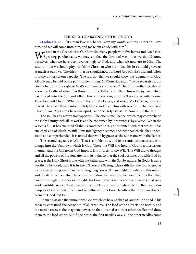#### <span id="page-18-2"></span>**THE SELF-COMMUNICATION OF GOD**

<span id="page-18-1"></span><span id="page-18-0"></span>[St John](http://www.ccel.org/study/Bible:John.14.23) xiv. 23.—"If a man love me, he will keep my words; and my Father will love him, and we will come unto him, and make our abode with him."

We read in the Gospeis that Our Lord fed many people with live loaves and two fishes.<br>Speaking parabolically, we may say that the first loaf was—that we should know<br>ourselves, what we have been everlastingly to God, and wh  $\tau$ e read in the Gospels that Our Lord fed many people with five loaves and two fishes. Speaking parabolically, we may say that the first loaf was—that we should know second—that we should pity our fellow Christian who is blinded; his loss should grieve us as much as our own. The third—that we should know our Lord Jesus Christ's life, and follow it to the utmost of our capacity. The fourth—that we should know the judgments of God. All that may be said of the pains of hell is true. St Dionysius saith, "To be separated from God is hell, and the sight of God's countenance is heaven." The fifth is—that we should know the Godhead which has flowed into the Father and filled Him with joy, and which has flowed into the Son and filled Him with wisdom, and the Two are essentially one. Therefore said Christ, "Where I am, there is My Father, and where My Father is, there am I" And They have flowed into the Holy Ghost and filled Him with good will. Therefore said Christ, "I and My Father have one Spirit," and the Holy Ghost has flowed into the soul.

The soul has by nature two capacities. The one is intelligence, which may comprehend the Holy Trinity with all its works and be contained by It as water is by a vessel. When the vessel is full, it has enclosed all that is contained in it, and is united with that which it has enclosed, and of which it is full. Thus intelligence becomes one with that which it has understood and comprehended. It is united therewith by grace, as the Son is one with the Father.

<span id="page-18-3"></span>The second capacity is Will. That is a nobler one, and its essential characteristic is to plunge into the Unknown which is God. There the Will lays hold of God in a mysterious manner, and the Unknown God imparts His impress to the Will. The Will draws thought and all the powers of the soul after it in its train, so that the soul becomes one with God by grace, as the Holy Ghost is one with the Father and with the Son by nature. In God it is more worthy to be loved, than it is in itself. Therefore St Augustine saith that the soul is greater by its love-giving power than by its life-giving power. If man might only abide in this union, and do all the works which have ever been done by creatures, he would be no other than God, if his higher powers so brought his lower powers under control, that he could only work God-like works. That however may not be, and man's highest faculty therefore contemplates God as best it can, and so influences his lower faculties that they can discern between Good and Evil.

Adam possessed that union with God which we have spoken of, and while he had it, his capacity contained the capacities of all creatures. The load-stone attracts the needle, and the needle receives the magnetic power, so that it can also attract other needles and draw them to the load-stone. But if one draws the first needle away, all the other needles come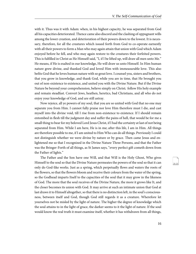with it. Thus was it with Adam: when, in his highest capacity, he was separated from God all his capacities deteriorated. Thence came also discord and the clashing of oppugnant wills among the lower creation, and deterioration of their powers down to the lowest. It is necessary, therefore, for all the creatures which issued forth from God to co-operate earnestly with all their powers to form a Man who may again attain that union with God which Adam enjoyed before he fell, and who may again restore to the creatures their forfeited powers. This is fulfilled in Christ as He Himself said, "I, if I be lifted up, will draw all men unto Me." He means, if He is exalted in our knowledge, He will draw us unto Himself. In Him human nature grew divine, and thanked God and loved Him with immeasurable love. This also befits God that he loves human nature with so great love. I counsel you, sisters and brothers, that you grow in knowledge, and thank God, while you are in time, that He brought you out of non-existence to existence, and united you with the Divine Nature. But if the Divine Nature be beyond your comprehension, believe simply on Christ; follow His holy example and remain steadfast. Convert Jews, heathen, heretics, bad Christians, and all who do not enjoy your knowledge of God, and are still astray.

Now rejoice, all ye powers of my soul, that you are so united with God that no one may separate you from Him. I cannot fully praise nor love Him therefore must I die, and cast myself into the divine void, till I rise from non-existence to existence. If I should remain entombed in flesh till the judgment day and suffer the pains of hell, that would be for me a small thing to bear for my beloved Lord Jesus Christ, if I had the certainty at last of not being separated from Him. While I am here, He is in me; after this life, I am in Him. All things are therefore possible to me, if I am united to Him Who can do all things. Previously I could not distinguish whether we were divine by nature or by grace. Then came Jesus and enlightened me so that I recognized in the Divine Nature Three Persons, and that the Father was the Bringer-Forth of all things, as St James says, "every perfect gift cometh down from the Father of lights."

<span id="page-19-0"></span>The Father and the Son have one Will, and that Will is the Holy Ghost, Who gives Himself to the soul so that the Divine Nature permeates the powers of the soul so that it can only do God-like works. Just as a spring, which perpetually flows and waters the roots of the flowers, so that the flowers bloom and receive their colours from the water of the spring, so the Godhead imparts Itself to the capacities of the soul that it may grow in the likeness of God. The more that the soul receives of the Divine Nature, the more it grows like It, and the closer becomes its union with God. It may arrive at such an intimate union that God at last draws it to Himself altogether, so that there is no distinction left, in the soul's consciousness, between itself and God, though God still regards it as a creature. Wherefore let yourselves not be misled by the light of nature. The higher the degree of knowledge which the soul attains to in the light of grace, the darker seems to it the light of nature. If the soul would know the real truth it must examine itself, whether it has withdrawn from all things,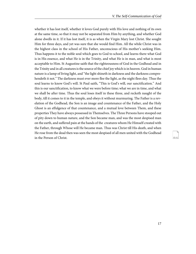<span id="page-20-0"></span>whether it has lost itself, whether it loves God purely with His love and nothing of its own at the same time, so that it may not be separated from Him by anything, and whether God alone dwells in it. If it has lost itself, it is as when the Virgin Mary lost Christ. She sought Him for three days, and yet was sure that she would find Him. All the while Christ was in the highest class in the school of His Father, unconscious of His mother's seeking Him. Thus happens it to the noble soul which goes to God to school, and learns there what God is in His essence, and what He is in the Trinity, and what He is in man, and what is most acceptable to Him. St Augustine saith that the righteousness of God in the Godhead and in the Trinity and in all creatures is the source of the chief joy which is in heaven. God in human nature is a lamp of living light, and "the light shineth in darkness and the darkness comprehendeth it not." The darkness must ever more flee the light, as the night flees day. Thus the soul learns to know God's will. St Paul saith, "This is God's will, our sanctification." And this is our sanctification, to know what we were before time; what we are in time, and what we shall be after time. Thus the soul loses itself in these three, and recketh naught of the body, till it comes to it in the temple, and obeys it without murmuring. The Father is a revelation of the Godhead, the Son is an image and countenance of the Father, and the Holy Ghost is an effulgence of that countenance, and a mutual love between Them, and these properties They have always possessed in Themselves. The Three Persons have stooped out of pity down to human nature, and the Son became man, and was the most despised man on the earth, and suffered pain at the hands of the creatures whom He Himself created with the Father, through Whose will He became man. Thus was Christ till His death, and when He rose from the dead then was seen the most despised of all men united with the Godhead in the Person of Christ.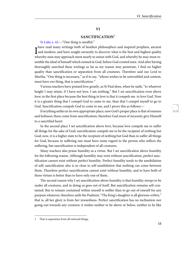#### <span id="page-21-2"></span>**VI**

### **SANCTIFICATION**<sup>1</sup>

<span id="page-21-1"></span><span id="page-21-0"></span>[St Luke](http://www.ccel.org/study/Bible:Luke.10.42) x. 42.—"One thing is needful."

I have read many writings both or heathen philosophers and inspired prophets, ancient<br>and modern, and have sought earnestly to discover what is the best and highest quality have read many writings both of heathen philosophers and inspired prophets, ancient whereby man may approach most nearly to union with God, and whereby he may most resemble the ideal of himself which existed in God, before God created men. And after having thoroughly searched these writings as far as my reason may penetrate, I find no higher quality than sanctification or separation from all creatures. Therefore said our Lord to Martha, "One thing is necessary," as if to say, "whoso wishes to be untroubled and content, must have one thing, that is sanctification."

Various teachers have praised love greatly, as St Paul does, when he saith, "to whatever height I may attain, if I have not love, I am nothing." But I set sanctification even above love; in the first place because the best thing in love is that it compels me to love God. Now it is a greater thing that I compel God to come to me, than that I compel myself to go to God. Sanctification compels God to come to me, and I prove this as follows:—

Everything settles in its own appropriate place; now God's proper place is that of oneness and holiness; these come from sanctification; therefore God must of necessity give Himself to a sanctified heart.

In the second place I set sanctification above love, because love compels me to suffer all things for the sake of God; sanctification compels me to be the recipient of nothing but God; now, it is a higher state to be the recipient of nothing but God than to suffer all things for God, because in suffering one must have some regard to the person who inflicts the suffering, but sanctification is independent of all creatures.

Many teachers also praise humility as a virtue. But I set sanctification above humility for the following reason. Although humility may exist without sanctification, perfect sanctification cannot exist without perfect humility. Perfect humility tends to the annihilation of self; sanctification also is so close to self-annihilation that nothing can come between them. Therefore perfect sanctification cannot exist without humility, and to have both of these virtues is better than to have only one of them.

The second reason why I set sanctification above humility is that humility stoops to be under all creatures, and in doing so goes out of itself. But sanctification remains self-contained. But to remain contained within oneself is nobler than to go out of oneself for any purpose whatever; therefore saith the Psalmist, "The King's daughter is all glorious within," that is, all her glory is from her inwardness. Perfect sanctification has no inclination nor going-out towards any creature; it wishes neither to be above or below, neither to be like

<sup>1</sup> That is separation from all outward things.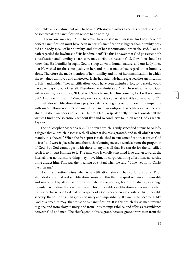nor unlike any creature, but only to be *one*. Whosoever wishes to be this or that wishes to be somewhat; but sanctification wishes to be nothing.

But some one may say: "All virtues must have existed in fullness in Our Lady, therefore perfect sanctification must have been in her. If sanctification is higher than humility, why did Our Lady speak of her humility, and not of her sanctification, when she said, "For He hath regarded the lowliness of His handmaiden?" To this I answer that God possesses both sanctification and humility, so far as we may attribute virtues to God. Now thou shouldest know that His humility brought God to stoop down to human nature, and our Lady knew that He wished for the same quality in her, and in that matter had regard to her humility alone. Therefore she made mention of her humility and not of her sanctification, in which she remained unmoved and unaffected. If she had said, "He hath regarded the sanctification of His handmaiden," her sanctification would have been disturbed, for, so to speak, would have been a going out of herself. Therefore the Psalmist said, "I will hear what the Lord God will say in me," as if to say, "If God will Speak to me, let Him come in, for I will not come out." And Boethius saith, "Men, why seek ye outside you what is inside you—salvation?"

<span id="page-22-0"></span>I set also sanctification above pity, for pity is only going out of oneself to sympathize with one's fellow-creature's sorrows. From such an out-going sanctification is free and abides in itself, and does not let itself be troubled. To speak briefly: when I consider all the virtues I find none so entirely without flaw and so conducive to union with God as sanctification.

The philosopher Avicenna says, "The spirit which is truly sanctified attains to so lofty a degree that all which it sees is real, all which it desires is granted, and in all which it commands, it is obeyed." When the free spirit is stablished in true sanctification, it draws God to itself, and were it placed beyond the reach of contingencies, it would assume the properties of God. But God cannot part with those to anyone; all that He can do for the sanctified spirit is to impart Himself to it. The man who is wholly sanctified is so drawn towards the Eternal, that no transitory thing may move him, no corporeal thing affect him, no earthly thing attract him. This was the meaning of St Paul when he said, "I live; yet not I; Christ liveth in me."

Now the question arises what is sanctification, since it has so lofty a rank. Thou shouldest know that real sanctification consists in this that the spirit remain as immovable and unaffected by all impact of love or hate, joy or sorrow, honour or shame, as a huge mountain is unstirred by a gentle breeze. This immovable sanctification causes man to attain the nearest likeness to God that he is capable of. God's very essence consists of His immovable sanctity; thence springs His glory and unity and impassibility. If a man is to become as like God as a creature may, that must be by sanctification. It is this which draws men upward to glory, and from glory to unity, and from unity to impassibility, and effects a resemblance between God and men. The chief agent in this is grace, because grace draws men from the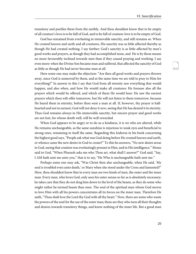transitory and purifies them from the earthly. And thou shouldest know that to be empty of all creature's love is to be full of God, and to be full of creature-love is to be empty of God.

<span id="page-23-0"></span>God has remained from everlasting in immovable sanctity, and still remains so. When He created heaven and earth and all creatures, His sanctity was as little affected thereby as though He had created nothing. I say further: God's sanctity is as little affected by men's good works and prayers, as though they had accomplished none, and He is by those means no more favourably inclined towards men than if they ceased praying and working. I say even more: when the Divine Son became man and suffered, that affected the sanctity of God as little as though He had never become man at all.

Here some one may make the objection: "Are then all good works and prayers thrown away, since God is unmoved by them, and at the same time we are told to pray to Him for everything?" In answer to this I say that God from all eternity saw everything that would happen, and also when, and how He would make all creatures: He foresaw also all the prayers which would be offered, and which of them He would hear: He saw the earnest prayers which thou wilt offer tomorrow, but He will not listen to them tomorrow, because He heard them in eternity, before thou wast a man at all. If, however, thy prayer is halfhearted and not in earnest, God will not deny it now, seeing that He has denied it in eternity. Thus God remains always in His immovable sanctity, but sincere prayer and good works are not lost, for whoso doeth well, will be well rewarded.

When God appears to be angry or to do us a kindness, it is we who are altered, while He remains unchangeable, as the same sunshine is injurious to weak eyes and beneficial to strong ones, remaining in itself the same. Regarding this Isidorus in his book concerning the highest good says, "People ask what was God doing before He created heaven and earth, or whence came the new desire in God to create?" To this he answers, "No new desire arose in God, seeing that creation was everlastingly present in Him, and in His intelligence." Moses said to God, "When Pharaoh asks me who Thou art, what shall I answer?" God said, "Say, I AM hath sent me unto you," that is to say, "He Who is unchangeable hath sent me."

Perhaps some one may ask, "Was Christ then also unchangeable, when He said, 'My soul is troubled even unto death,' or Mary when she stood under the Cross and lamented?" Here, thou shouldest know that in every man are two kinds of men, the outer and the inner man. Every man, who loves God, only uses his outer senses so far as is absolutely necessary; he takes care that they do not drag him down to the level of the beasts, as they do some who might rather he termed beasts than men. The soul of the spiritual man whom God moves to love Him with all his powers concentrates all its forces on the inner man. Therefore He saith, "Thou shalt love the Lord thy God with all thy heart." Now, there are some who waste the powers of the soul for the use of the outer man; these are they who turn all their thoughts and desires towards transitory things, and know nothing of the inner life. But a good man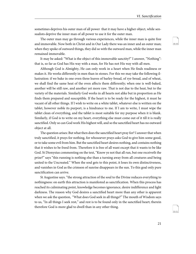<span id="page-24-0"></span>sometimes deprives his outer man of all power that it may have a higher object, while sensualists deprive the inner man of all power to use it for the outer man.

The outer man may go through various experiences, while the inner man is quite free and immovable. Now both in Christ and in Our Lady there was an inner and an outer man; when they spoke of outward things, they did so with the outward man, while the inner man remained immovable.

It may be asked: "What is the object of this immovable sanctity?" I answer, "Nothing": that is, so far as God has His way with a man, for He has not His way with all men.

Although God is Almighty, He can only work in a heart when He finds readiness or makes it. He works differently in men than in stones. For this we may take the following illustration: if we bake in one oven three loaves of barley-bread, of rye-bread, and of wheat, we shall find the same heat of the oven affects them differently; when one is well-baked, another will be still raw, and another yet more raw. That is not due to the heat, but to the variety of the materials. Similarly God works in all hearts not alike but in proportion as He finds them prepared and susceptible. If the heart is to be ready for the highest, it must he vacant of all other things. If I wish to write on a white tablet, whatever else is written on the tablet, however noble its purport, is a hindrance to me. If I am to write, I must wipe the tablet clean of everything, and the tablet is most suitable for my purpose when it is blank. Similarly, if God is to write on my heart, everything else must come out of it till it is really sanctified. Only so can God work His highest will, and so the sanctified heart has no outward object at all.

The question arises: But what then does the sanctified heart pray for? I answer that when truly sanctified, it prays for nothing, for whosoever prays asks God to give him some good, or to take some evil from him. But the sanctified heart desires nothing, and contains nothing that it wishes to be freed from. Therefore it is free of all want except that it wants to be like God. St Dionysius commenting on the text, "Know ye not that all run, but one receiveth the prize?" says "this running is nothing else than a turning away from all creatures and being united to the Uncreated." When the soul gets to this point, it loses its own distinctiveness, and vanishes in God as the crimson of sunrise disappears in the sun. To this goal only pure sanctification can arrive.

<span id="page-24-1"></span>St Augustine says. "the strong attraction of the soul to the Divine reduces everything to nothingness: on earth this attraction is manifested as sanctification. When this process has reached its culminating point, knowledge becomes ignorance, desire indifference and light darkness. The reason why God desires a sanctified heart more than any other is apparent when we ask the question, "What does God seek in all things?" The mouth of Wisdom says to us, "In all things I seek rest," and rest is to be found only in the sanctified heart; therein therefore God is more glad to dwell than in any other thing.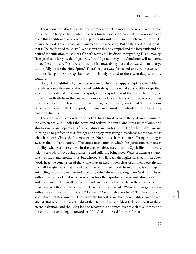Thou shouldest also know that the more a man sets himself to be receptive of divine influence, the happier he is: who most sets himself so, is the happiest. Now no man can reach this condition of receptivity except by conformity with God, which comes from submission to God. This is what Saint Paul means when he says, "Put on the Lord Jesus Christ," that is "be conformed to Christ." Whosoever wishes to comprehend the lofty rank and benefit of sanctification must mark Christ's words to His disciples regarding His humanity, "It is profitable for you, that I go away, for, if I go not away, the Comforter will not come to you." As if to say, "Ye have so much desire towards my natural outward form, that ye cannot fully desire the Holy Spirit." Therefore put away forms and unite yourselves with formless Being, for God's spiritual comfort is only offered to those who despise earthly comfort.

Now, all thoughtful folk, mark me! no one can be truly happy, except he who abides in the strictest sanctification. No bodily and fleshly delight can ever take place with out spiritual loss, for the flesh lusteth against the spirit, and the spirit against the flesh. Therefore, the more a man fleeth from the created, the more the Creator hastens to him. And consider this: if the pleasure we take in the outward image of our Lord Jesus Christ diminishes our capacity for receiving the Holy Spirit, how much more must our unbridled desire for earthly comforts diminish it!

<span id="page-25-0"></span>Therefore sanctification is the best of all things, for it cleanses the soul, and illuminates the conscience, and kindles the heart, and wakens the spirit, and girds up the loins, and glorifies virtue and separates us from creatures, and unites us with God. The quickest means to bring us to perfection is suffering; none enjoy everlasting blessedness more than those who share with Christ the bitterest pangs. Nothing is sharper than suffering, nothing is sweeter than to have suffered. The surest foundation in which this perfection may rest is humility; whatever here crawls in the deepest abjectness, that the Spirit lifts to the very heights of God, for love brings suffering and suffering brings love. Ways of living are many; one lives thus, and another thus; but whosoever will reach the highest life, let him in a few words hear the conclusion of the whole matter: keep thyself clear of all men, keep thyself from all imaginations that crowd upon the mind, free thyself from all that is contingent, entangling, and cumbersome and direct thy mind always to gazing upon God in thy heart with a steadfast look that never wavers: as for other spiritual exercises—fasting, watching and prayer—direct them all to this one end, and practice them so far as they may be helpful thereto, so wilt thou win to perfection. Here some one may ask, "Who can thus gaze always without wavering at a divine object?" I answer: "No one who now lives." This has only been said to thee that thou mightest know what the highest is, and that thou mightest have desires after it. But when thou losest sight of the Divine, thou shouldest feel as if bereft of thine eternal salvation, and shouldest long to recover it, and watch over thyself at all times, and direct thy aims and longing towards it. May God be blessed for ever. Amen.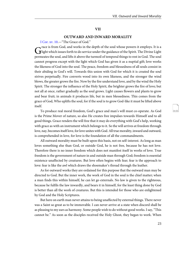#### <span id="page-26-2"></span>**VII**

#### **OUTWARD AND INWARD MORALITY**

<span id="page-26-0"></span>[I Cor.](http://www.ccel.org/study/Bible:1Cor.15.10) xv. 10.—"The Grace of God."

<span id="page-26-1"></span>Grace is from God, and works in the depth of the soul whose powers it employs. It is a<br>Glight which issues forth to do service under the guidance of the Spirit. The Divine Light race is from God, and works in the depth of the soul whose powers it employs. It is a permeates the soul, and lifts it above the turmoil of temporal things to rest in God. The soul cannot progress except with the light which God has given it as a nuptial gift; love works the likeness of God into the soul. The peace, freedom and blessedness of all souls consist in their abiding in God's will. Towards this union with God for which it is created the soul strives perpetually. Fire converts wood into its own likeness, and the stronger the wind blows, the greater grows the fire. Now by the fire understand love, and by the wind the Holy Spirit. The stronger the influence of the Holy Spirit, the brighter grows the fire of love; but not all at once, rather gradually as the soul grows. Light causes flowers and plants to grow and bear fruit; in animals it produces life, but in men blessedness. This comes from the grace of God, Who uplifts the soul, for if the soul is to grow God-like it must be lifted above itself.

To produce real moral freedom, God's grace and man's will must co-operate. As God is the Prime Mover of nature, so also He creates free impulses towards Himself and to all good things. Grace renders the will free that it may do everything with God's help, working with grace as with an instrument which belongs to it. So the will arrives at freedom through love, nay, becomes itself love, for love unites with God. All true morality, inward and outward, is comprehended in love, for love is the foundation of all the commandments.

All outward morality must be built upon this basis, not on self-interest. As long as man loves something else than God, or outside God, he is not free, because he has not love. Therefore there is no inner freedom which does not manifest itself in works of love. True freedom is the government of nature in and outside man through God; freedom is essential existence unaffected by creatures. But love often begins with fear; fear is the approach to love: fear is like the awl which draws the shoemaker's thread through the leather.

As for outward works they are ordained for this purpose that the outward man may be directed to God. But the inner work, the work of God in the soul is the chief matter; when a man finds this within himself, he can let go externals. No law is given to the righteous, because he fulfils the law inwardly, and bears it in himself, for the least thing done by God is better than all the work of creatures. But this is intended for those who are enlightened by God and the Holy Scriptures.

But here on earth man never attains to being unaffected by external things. There never was a Saint so great as to be immovable. I can never arrive at a state when discord shall be as pleasing to my ears as harmony. Some people wish to do without good works. I say, "This cannot be." As soon as the disciples received the Holy Ghost, they began to work. When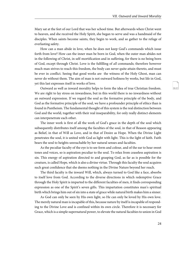Mary sat at the feet of our Lord that was her school time. But afterwards when Christ went to heaven, and she received the Holy Spirit, she began to serve and was a handmaid of the disciples. When saints become saints, they begin to work, and so gather to the refuge of everlasting safety.

How can a man abide in love, when he does not keep God's commands which issue forth from love? How can the inner man be born in God, when the outer man abides not in the following of Christ, in self-mortification and in suffering, for there is no being born of God, except through Christ. Love is the fulfilling of all commands; therefore however much man strives to reach this freedom, the body can never quite attain thereto, and must be ever in conflict. Seeing that good works are the witness of the Holy Ghost, man can never do without them. The aim of man is not outward holiness by works, but life in God, yet this last expresses itself in works of love.

<span id="page-27-0"></span>Outward as well as inward morality helps to form the idea of true Christian freedom. We are right to lay stress on inwardness, but in this world there is no inwardness without an outward expression. If we regard the soul as the formative principle of the body, and God as the formative principle of the soul, we have a profounder principle of ethics than is found in Pantheism. The fundamental thought of this system is the real distinction between God and the world, together with their real inseparability, for only really distinct elements can interpenetrate each other.

The inner work is first of all the work of God's grace in the depth of the soul which subsequently distributes itself among the faculties of the soul, in that of Reason appearing as Belief, in that of Will as Love, and in that of Desire as Hope. When the Divine Light penetrates the soul, it is united with God as light with light. This is the light of faith. Faith bears the soul to heights unreachable by her natural senses and faculties.

As the peculiar faculty of the eye is to see form and colour, and of the ear to hear sweet tones and voices, so is aspiration peculiar to the soul. To relax from ceaseless aspiration is sin. This energy of aspiration directed to and grasping God, as far as is possible for the creature, is called Hope, which is also a divine virtue. Through this faculty the soul acquires such great confidence that she deems nothing in the Divine Nature beyond her reach.

The third faculty is the inward Will, which, always turned to God like a face, absorbs to itself love from God. According to the diverse directions in which redemptive Grace through the Holy Spirit is imparted to the different faculties of men, it finds corresponding expression as one of the Spirit's seven gifts. This impartation constitutes man's spiritual birth which brings him out of sin into a state of grace while natural birth makes him a sinner.

As God can only be seen by His own light, so He can only be loved by His own love. The merely natural man is incapable of this, because nature by itself is incapable of responding to the Divine Love and is confined within its own circle. Therefore it is necessary for Grace, which is a simple supernatural power, to elevate the natural faculties to union in God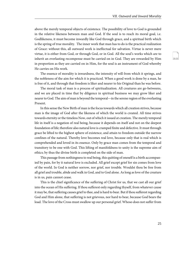<span id="page-28-0"></span>above the merely temporal objects of existence. The possibility of love to God is grounded in the relative likeness between man and God. If the soul is to reach its moral goal, i.e. Godlikeness, it must become inwardly like God through grace, and a spiritual birth which is the spring of true morality. The inner work that man has to do is the practical realization of Grace: without this, all outward work is ineffectual for salvation. Virtue is never mere virtue, it is either from God, or through God, or in God. All the soul's works which are to inherit an everlasting recompense must be carried on in God. They are rewarded by Him in proportion as they are carried on in Him, for the soul is an instrument of God whereby He carries on His work.

The essence of morality is inwardness, the intensity of will from which it springs, and the nobleness of the aim for which it is practiced. When a good work is done by a man, he is free of it, and through that freedom is liker and nearer to his Original than he was before.

The moral task of man is a process of spiritualization. All creatures are go-betweens, and we are placed in time that by diligence in spiritual business we may grow liker and nearer to God. The aim of man is beyond the temporal—in the serene region of the everlasting Present.

In this sense the New Birth of man is the focus towards which all creation strives, because man is the image of God after the likeness of which the world is created. All time strives towards eternity or the timeless Now, out of which it issued at creation. The merely temporal life in itself is a negation of real being, because it depends on itself and not on the deepest foundation of life; therefore also natural love is cramped finite and defective. It must through grace be lifted to the highest sphere of existence, and attain to freedom outside the narrow confines of the natural. Thereby love becomes real love, because only that is real which is comprehended and loved in its essence. Only by grace man comes from the temporal and transitory to be one with God. This lifting of manifoldness to unity is the supreme aim of ethics; by thus the divine birth is completed on the side of man.

This passage from nothingness to real being, this quitting of oneself is a birth accompanied by pain, for by it natural love is excluded. All grief except grief for sin comes from love of the world. In God is neither sorrow, nor grief, nor trouble. Wouldst thou be free from all grief and trouble, abide and walk in God, and to God alone. As long as love of the creature is in us, pain cannot cease.

This is the chief significance of the suffering of Christ for us, that we cast all our grief into the ocean of His suffering. If thou sufferest only regarding thyself, from whatever cause it may be, that suffering causes grief to thee, and is hard to bear. But if thou sufferest regarding God and Him alone, that suffering is not grievous, nor hard to bear, because God bears the load. The love of the Cross must swallow up our personal grief. Whoso does not suffer from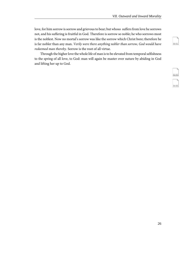love, for him sorrow is sorrow and grievous to bear; but whoso suffers from love he sorrows not, and his suffering is fruitful in God. Therefore is sorrow so noble; he who sorrows most is the noblest. Now no mortal's sorrow was like the sorrow which Christ bore; therefore he is far nobler than any man. Verily were there anything nobler than sorrow, God would have redeemed man thereby. Sorrow is the root of all virtue.

Through the higher love the whole life of man is to be elevated from temporal selfishness to the spring of all love, to God: man will again be master over nature by abiding in God and lifting her up to God.

<span id="page-29-2"></span><span id="page-29-1"></span><span id="page-29-0"></span>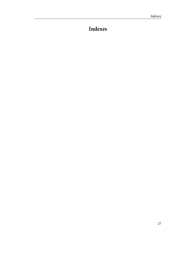# <span id="page-30-0"></span>**Indexes**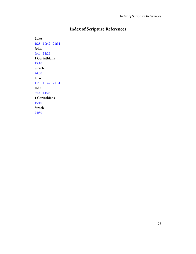## **Index of Scripture References**

<span id="page-31-0"></span>**Luke** [1:28](#page-14-1) [10:42](#page-21-1)  [21:31](#page-11-1)  **John** [6:44](#page-7-1) [14:23](#page-18-1)  **1 Corinthians** [15:10](#page-26-1)  **Sirach** [24:30](#page-16-1)  **Luke** [1:28](#page-14-1) [10:42](#page-21-1)  [21:31](#page-11-1) **John** [6:44](#page-7-1) [14:23](#page-18-1) **1 Corinthians** [15:10](#page-26-1) **Sirach** [24:30](#page-16-1)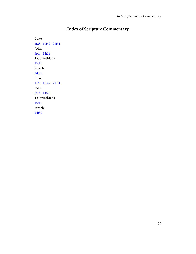## **Index of Scripture Commentary**

<span id="page-32-0"></span>**Luke** [1:28](#page-14-1) [10:42](#page-21-1)  [21:31](#page-11-1)  **John** [6:44](#page-7-1) [14:23](#page-18-1)  **1 Corinthians** [15:10](#page-26-1)  **Sirach** [24:30](#page-16-1)  **Luke** [1:28](#page-14-1) [10:42](#page-21-1)  [21:31](#page-11-1) **John** [6:44](#page-7-1) [14:23](#page-18-1) **1 Corinthians** [15:10](#page-26-1) **Sirach** [24:30](#page-16-1)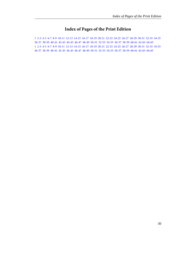## **Index of Pages of the Print Edition**

<span id="page-33-0"></span>[1](#page-4-1)  [2-3](#page-4-2)  [4-5](#page-5-1)  [6-7](#page-5-2)  [8-9](#page-6-0)  [10-11](#page-7-2)  [12-13](#page-7-3)  [14-15](#page-8-0)  [16-17](#page-9-0)  [18-19](#page-10-0)  [20-21](#page-11-2)  [22-23](#page-12-0)  [24-25](#page-13-0)  [26-27](#page-14-2)  [28-29](#page-15-0)  [30-31](#page-16-2)  [32-33](#page-17-0)  [34-35](#page-18-2) [36-37](#page-18-3)  [38-39](#page-19-0)  [40-41](#page-20-0)  [42-43](#page-21-2)  [44-45](#page-22-0)  [46-47](#page-23-0)  [48-49](#page-24-0)  [50-51](#page-24-1)  [52-53](#page-25-0)  [54-55](#page-26-2)  [56-57](#page-27-0)  [58-59](#page-28-0)  [60-61](#page-29-0)  [62-63](#page-29-1)  [64-65](#page-29-2) [1](#page-4-1)  [2-3](#page-4-2)  [4-5](#page-5-1)  [6-7](#page-5-2)  [8-9](#page-6-0)  [10-11](#page-7-2)  [12-13](#page-7-3)  [14-15](#page-8-0)  [16-17](#page-9-0)  [18-19](#page-10-0)  [20-21](#page-11-2)  [22-23](#page-12-0)  [24-25](#page-13-0)  [26-27](#page-14-2)  [28-29](#page-15-0)  [30-31](#page-16-2)  [32-33](#page-17-0)  [34-35](#page-18-2) [36-37](#page-18-3)  [38-39](#page-19-0)  [40-41](#page-20-0)  [42-43](#page-21-2)  [44-45](#page-22-0)  [46-47](#page-23-0)  [48-49](#page-24-0)  [50-51](#page-24-1)  [52-53](#page-25-0)  [54-55](#page-26-2)  [56-57](#page-27-0)  [58-59](#page-28-0)  [60-61](#page-29-0)  [62-63](#page-29-1)  [64-65](#page-29-2)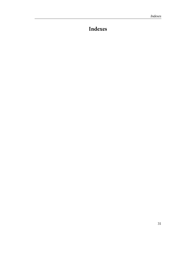# <span id="page-34-0"></span>**Indexes**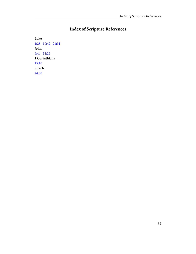## **Index of Scripture References**

<span id="page-35-0"></span>**Luke** [1:28](#page-14-1) [10:42](#page-21-1)  [21:31](#page-11-1)  **John** [6:44](#page-7-1) [14:23](#page-18-1)  **1 Corinthians** [15:10](#page-26-1)  **Sirach** [24:30](#page-16-1)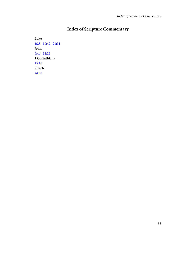## **Index of Scripture Commentary**

<span id="page-36-0"></span>**Luke** [1:28](#page-14-1) [10:42](#page-21-1)  [21:31](#page-11-1)  **John** [6:44](#page-7-1) [14:23](#page-18-1)  **1 Corinthians** [15:10](#page-26-1)  **Sirach** [24:30](#page-16-1)